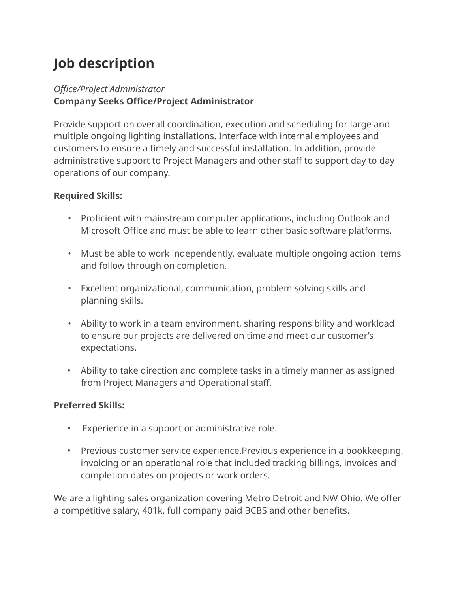## **Job description**

## *Office/Project Administrator* **Company Seeks Office/Project Administrator**

Provide support on overall coordination, execution and scheduling for large and multiple ongoing lighting installations. Interface with internal employees and customers to ensure a timely and successful installation. In addition, provide administrative support to Project Managers and other staff to support day to day operations of our company.

## **Required Skills:**

- Proficient with mainstream computer applications, including Outlook and Microsoft Office and must be able to learn other basic software platforms.
- Must be able to work independently, evaluate multiple ongoing action items and follow through on completion.
- Excellent organizational, communication, problem solving skills and planning skills.
- Ability to work in a team environment, sharing responsibility and workload to ensure our projects are delivered on time and meet our customer's expectations.
- Ability to take direction and complete tasks in a timely manner as assigned from Project Managers and Operational staff.

## **Preferred Skills:**

- Experience in a support or administrative role.
- Previous customer service experience.Previous experience in a bookkeeping, invoicing or an operational role that included tracking billings, invoices and completion dates on projects or work orders.

We are a lighting sales organization covering Metro Detroit and NW Ohio. We offer a competitive salary, 401k, full company paid BCBS and other benefits.